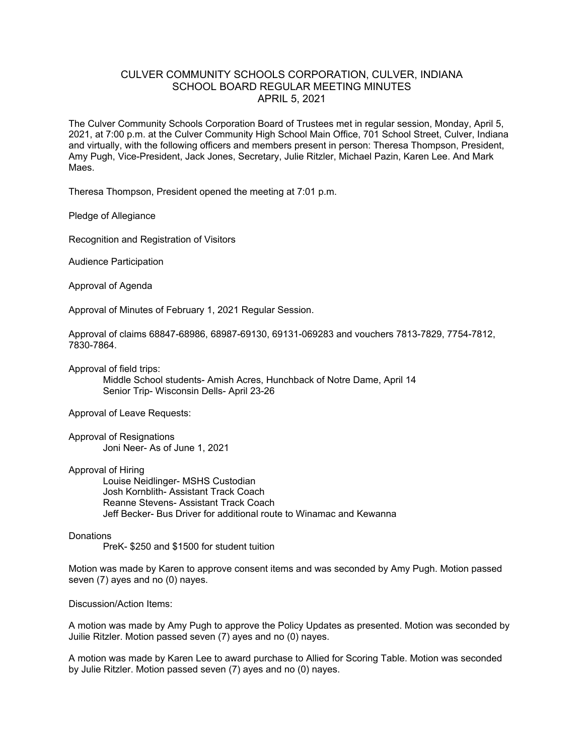## CULVER COMMUNITY SCHOOLS CORPORATION, CULVER, INDIANA SCHOOL BOARD REGULAR MEETING MINUTES APRIL 5, 2021

The Culver Community Schools Corporation Board of Trustees met in regular session, Monday, April 5, 2021, at 7:00 p.m. at the Culver Community High School Main Office, 701 School Street, Culver, Indiana and virtually, with the following officers and members present in person: Theresa Thompson, President, Amy Pugh, Vice-President, Jack Jones, Secretary, Julie Ritzler, Michael Pazin, Karen Lee. And Mark Maes.

Theresa Thompson, President opened the meeting at 7:01 p.m.

Pledge of Allegiance

Recognition and Registration of Visitors

Audience Participation

Approval of Agenda

Approval of Minutes of February 1, 2021 Regular Session.

Approval of claims 68847-68986, 68987-69130, 69131-069283 and vouchers 7813-7829, 7754-7812, 7830-7864.

Approval of field trips:

Middle School students- Amish Acres, Hunchback of Notre Dame, April 14 Senior Trip- Wisconsin Dells- April 23-26

Approval of Leave Requests:

Approval of Resignations Joni Neer- As of June 1, 2021

Approval of Hiring

Louise Neidlinger- MSHS Custodian Josh Kornblith- Assistant Track Coach Reanne Stevens- Assistant Track Coach Jeff Becker- Bus Driver for additional route to Winamac and Kewanna

## **Donations**

PreK- \$250 and \$1500 for student tuition

Motion was made by Karen to approve consent items and was seconded by Amy Pugh. Motion passed seven (7) ayes and no (0) nayes.

Discussion/Action Items:

A motion was made by Amy Pugh to approve the Policy Updates as presented. Motion was seconded by Juilie Ritzler. Motion passed seven (7) ayes and no (0) nayes.

A motion was made by Karen Lee to award purchase to Allied for Scoring Table. Motion was seconded by Julie Ritzler. Motion passed seven (7) ayes and no (0) nayes.